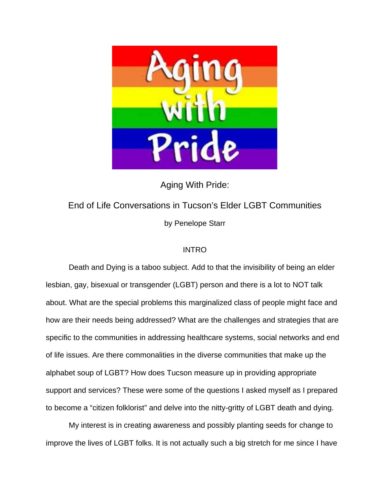

Aging With Pride:

# End of Life Conversations in Tucson's Elder LGBT Communities by Penelope Starr

## INTRO

Death and Dying is a taboo subject. Add to that the invisibility of being an elder lesbian, gay, bisexual or transgender (LGBT) person and there is a lot to NOT talk about. What are the special problems this marginalized class of people might face and how are their needs being addressed? What are the challenges and strategies that are specific to the communities in addressing healthcare systems, social networks and end of life issues. Are there commonalities in the diverse communities that make up the alphabet soup of LGBT? How does Tucson measure up in providing appropriate support and services? These were some of the questions I asked myself as I prepared to become a "citizen folklorist" and delve into the nitty-gritty of LGBT death and dying.

My interest is in creating awareness and possibly planting seeds for change to improve the lives of LGBT folks. It is not actually such a big stretch for me since I have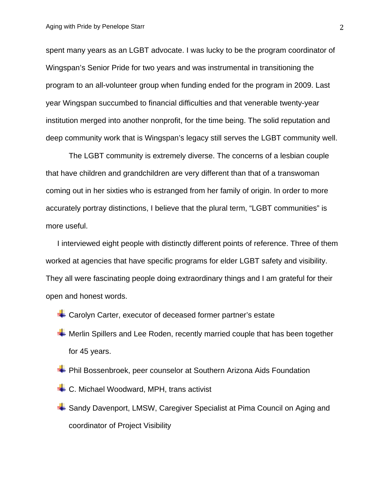spent many years as an LGBT advocate. I was lucky to be the program coordinator of Wingspan's Senior Pride for two years and was instrumental in transitioning the program to an all-volunteer group when funding ended for the program in 2009. Last year Wingspan succumbed to financial difficulties and that venerable twenty-year institution merged into another nonprofit, for the time being. The solid reputation and deep community work that is Wingspan's legacy still serves the LGBT community well.

The LGBT community is extremely diverse. The concerns of a lesbian couple that have children and grandchildren are very different than that of a transwoman coming out in her sixties who is estranged from her family of origin. In order to more accurately portray distinctions, I believe that the plural term, "LGBT communities" is more useful.

I interviewed eight people with distinctly different points of reference. Three of them worked at agencies that have specific programs for elder LGBT safety and visibility. They all were fascinating people doing extraordinary things and I am grateful for their open and honest words.

- $\div$  **Carolyn Carter, executor of deceased former partner's estate**
- **Werlin Spillers and Lee Roden, recently married couple that has been together** for 45 years.
- **+** Phil Bossenbroek, peer counselor at Southern Arizona Aids Foundation
- C. Michael Woodward, MPH, trans activist
- Sandy Davenport, LMSW, Caregiver Specialist at Pima Council on Aging and coordinator of Project Visibility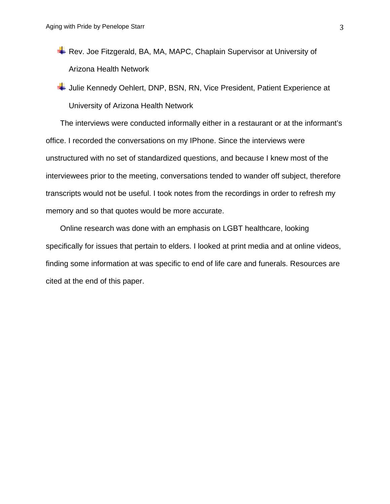Rev. Joe Fitzgerald, BA, MA, MAPC, Chaplain Supervisor at University of Arizona Health Network

Julie Kennedy Oehlert, DNP, BSN, RN, Vice President, Patient Experience at University of Arizona Health Network

The interviews were conducted informally either in a restaurant or at the informant's office. I recorded the conversations on my IPhone. Since the interviews were unstructured with no set of standardized questions, and because I knew most of the interviewees prior to the meeting, conversations tended to wander off subject, therefore transcripts would not be useful. I took notes from the recordings in order to refresh my memory and so that quotes would be more accurate.

Online research was done with an emphasis on LGBT healthcare, looking specifically for issues that pertain to elders. I looked at print media and at online videos, finding some information at was specific to end of life care and funerals. Resources are cited at the end of this paper.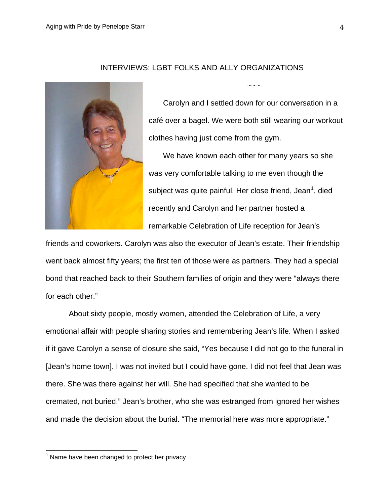

INTERVIEWS: LGBT FOLKS AND ALLY ORGANIZATIONS

Carolyn and I settled down for our conversation in a café over a bagel. We were both still wearing our workout clothes having just come from the gym.

 $\sim\sim\sim$ 

We have known each other for many years so she was very comfortable talking to me even though the subject was quite painful. Her close friend, Jean<sup>[1](#page-3-0)</sup>, died recently and Carolyn and her partner hosted a remarkable Celebration of Life reception for Jean's

friends and coworkers. Carolyn was also the executor of Jean's estate. Their friendship went back almost fifty years; the first ten of those were as partners. They had a special bond that reached back to their Southern families of origin and they were "always there for each other."

About sixty people, mostly women, attended the Celebration of Life, a very emotional affair with people sharing stories and remembering Jean's life. When I asked if it gave Carolyn a sense of closure she said, "Yes because I did not go to the funeral in [Jean's home town]. I was not invited but I could have gone. I did not feel that Jean was there. She was there against her will. She had specified that she wanted to be cremated, not buried." Jean's brother, who she was estranged from ignored her wishes and made the decision about the burial. "The memorial here was more appropriate."

<span id="page-3-0"></span> $<sup>1</sup>$  Name have been changed to protect her privacy</sup>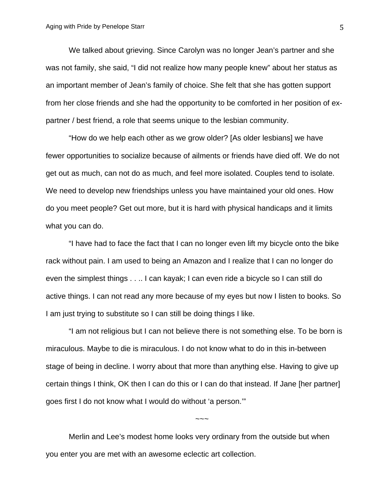We talked about grieving. Since Carolyn was no longer Jean's partner and she was not family, she said, "I did not realize how many people knew" about her status as an important member of Jean's family of choice. She felt that she has gotten support from her close friends and she had the opportunity to be comforted in her position of expartner / best friend, a role that seems unique to the lesbian community.

"How do we help each other as we grow older? [As older lesbians] we have fewer opportunities to socialize because of ailments or friends have died off. We do not get out as much, can not do as much, and feel more isolated. Couples tend to isolate. We need to develop new friendships unless you have maintained your old ones. How do you meet people? Get out more, but it is hard with physical handicaps and it limits what you can do.

"I have had to face the fact that I can no longer even lift my bicycle onto the bike rack without pain. I am used to being an Amazon and I realize that I can no longer do even the simplest things . . .. I can kayak; I can even ride a bicycle so I can still do active things. I can not read any more because of my eyes but now I listen to books. So I am just trying to substitute so I can still be doing things I like.

"I am not religious but I can not believe there is not something else. To be born is miraculous. Maybe to die is miraculous. I do not know what to do in this in-between stage of being in decline. I worry about that more than anything else. Having to give up certain things I think, OK then I can do this or I can do that instead. If Jane [her partner] goes first I do not know what I would do without 'a person.'"

~~~

Merlin and Lee's modest home looks very ordinary from the outside but when you enter you are met with an awesome eclectic art collection.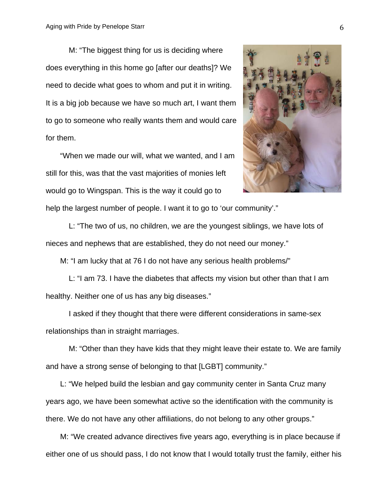M: "The biggest thing for us is deciding where does everything in this home go [after our deaths]? We need to decide what goes to whom and put it in writing. It is a big job because we have so much art, I want them to go to someone who really wants them and would care for them.

"When we made our will, what we wanted, and I am still for this, was that the vast majorities of monies left would go to Wingspan. This is the way it could go to



help the largest number of people. I want it to go to 'our community'."

L: "The two of us, no children, we are the youngest siblings, we have lots of nieces and nephews that are established, they do not need our money."

M: "I am lucky that at 76 I do not have any serious health problems/"

L: "I am 73. I have the diabetes that affects my vision but other than that I am healthy. Neither one of us has any big diseases."

I asked if they thought that there were different considerations in same-sex relationships than in straight marriages.

M: "Other than they have kids that they might leave their estate to. We are family and have a strong sense of belonging to that [LGBT] community."

L: "We helped build the lesbian and gay community center in Santa Cruz many years ago, we have been somewhat active so the identification with the community is there. We do not have any other affiliations, do not belong to any other groups."

M: "We created advance directives five years ago, everything is in place because if either one of us should pass, I do not know that I would totally trust the family, either his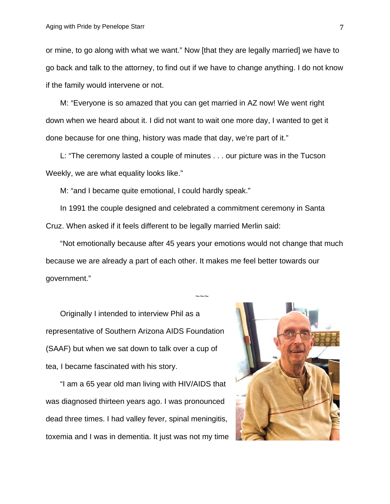or mine, to go along with what we want." Now [that they are legally married] we have to go back and talk to the attorney, to find out if we have to change anything. I do not know if the family would intervene or not.

M: "Everyone is so amazed that you can get married in AZ now! We went right down when we heard about it. I did not want to wait one more day, I wanted to get it done because for one thing, history was made that day, we're part of it."

L: "The ceremony lasted a couple of minutes . . . our picture was in the Tucson Weekly, we are what equality looks like."

M: "and I became quite emotional, I could hardly speak."

In 1991 the couple designed and celebrated a commitment ceremony in Santa Cruz. When asked if it feels different to be legally married Merlin said:

"Not emotionally because after 45 years your emotions would not change that much because we are already a part of each other. It makes me feel better towards our government."

 $\sim\sim\sim$ 

Originally I intended to interview Phil as a representative of Southern Arizona AIDS Foundation (SAAF) but when we sat down to talk over a cup of tea, I became fascinated with his story.

"I am a 65 year old man living with HIV/AIDS that was diagnosed thirteen years ago. I was pronounced dead three times. I had valley fever, spinal meningitis, toxemia and I was in dementia. It just was not my time

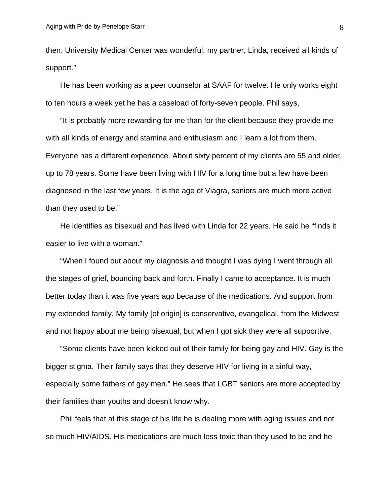then. University Medical Center was wonderful, my partner, Linda, received all kinds of support."

He has been working as a peer counselor at SAAF for twelve. He only works eight to ten hours a week yet he has a caseload of forty-seven people. Phil says,

"It is probably more rewarding for me than for the client because they provide me with all kinds of energy and stamina and enthusiasm and I learn a lot from them. Everyone has a different experience. About sixty percent of my clients are 55 and older, up to 78 years. Some have been living with HIV for a long time but a few have been diagnosed in the last few years. It is the age of Viagra, seniors are much more active than they used to be."

He identifies as bisexual and has lived with Linda for 22 years. He said he "finds it easier to live with a woman."

"When I found out about my diagnosis and thought I was dying I went through all the stages of grief, bouncing back and forth. Finally I came to acceptance. It is much better today than it was five years ago because of the medications. And support from my extended family. My family [of origin] is conservative, evangelical, from the Midwest and not happy about me being bisexual, but when I got sick they were all supportive.

"Some clients have been kicked out of their family for being gay and HIV. Gay is the bigger stigma. Their family says that they deserve HIV for living in a sinful way, especially some fathers of gay men." He sees that LGBT seniors are more accepted by their families than youths and doesn't know why.

Phil feels that at this stage of his life he is dealing more with aging issues and not so much HIV/AIDS. His medications are much less toxic than they used to be and he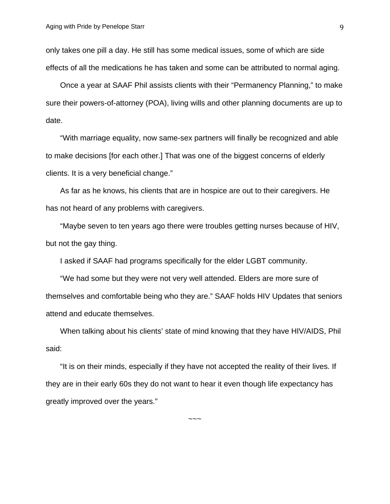only takes one pill a day. He still has some medical issues, some of which are side effects of all the medications he has taken and some can be attributed to normal aging.

Once a year at SAAF Phil assists clients with their "Permanency Planning," to make sure their powers-of-attorney (POA), living wills and other planning documents are up to date.

"With marriage equality, now same-sex partners will finally be recognized and able to make decisions [for each other.] That was one of the biggest concerns of elderly clients. It is a very beneficial change."

As far as he knows, his clients that are in hospice are out to their caregivers. He has not heard of any problems with caregivers.

"Maybe seven to ten years ago there were troubles getting nurses because of HIV, but not the gay thing.

I asked if SAAF had programs specifically for the elder LGBT community.

"We had some but they were not very well attended. Elders are more sure of themselves and comfortable being who they are." SAAF holds HIV Updates that seniors attend and educate themselves.

When talking about his clients' state of mind knowing that they have HIV/AIDS, Phil said:

"It is on their minds, especially if they have not accepted the reality of their lives. If they are in their early 60s they do not want to hear it even though life expectancy has greatly improved over the years."

 $\sim\sim\sim$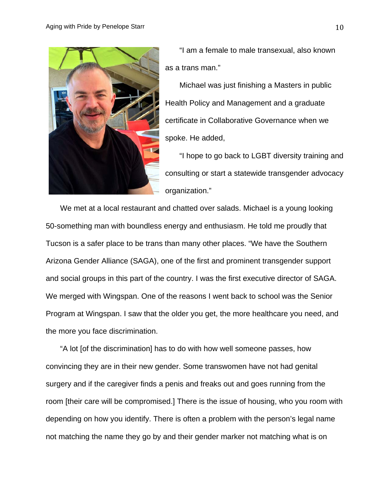

"I am a female to male transexual, also known as a trans man."

Michael was just finishing a Masters in public Health Policy and Management and a graduate certificate in Collaborative Governance when we spoke. He added,

"I hope to go back to LGBT diversity training and consulting or start a statewide transgender advocacy organization."

We met at a local restaurant and chatted over salads. Michael is a young looking 50-something man with boundless energy and enthusiasm. He told me proudly that Tucson is a safer place to be trans than many other places. "We have the Southern Arizona Gender Alliance (SAGA), one of the first and prominent transgender support and social groups in this part of the country. I was the first executive director of SAGA. We merged with Wingspan. One of the reasons I went back to school was the Senior Program at Wingspan. I saw that the older you get, the more healthcare you need, and the more you face discrimination.

"A lot [of the discrimination] has to do with how well someone passes, how convincing they are in their new gender. Some transwomen have not had genital surgery and if the caregiver finds a penis and freaks out and goes running from the room [their care will be compromised.] There is the issue of housing, who you room with depending on how you identify. There is often a problem with the person's legal name not matching the name they go by and their gender marker not matching what is on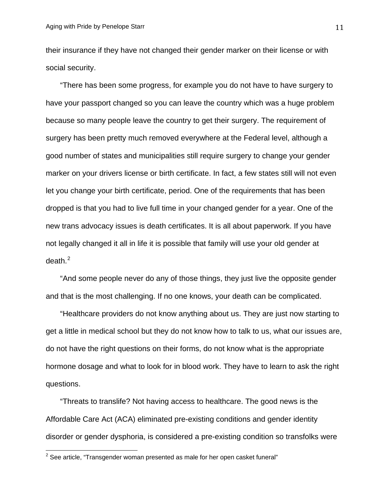their insurance if they have not changed their gender marker on their license or with social security.

"There has been some progress, for example you do not have to have surgery to have your passport changed so you can leave the country which was a huge problem because so many people leave the country to get their surgery. The requirement of surgery has been pretty much removed everywhere at the Federal level, although a good number of states and municipalities still require surgery to change your gender marker on your drivers license or birth certificate. In fact, a few states still will not even let you change your birth certificate, period. One of the requirements that has been dropped is that you had to live full time in your changed gender for a year. One of the new trans advocacy issues is death certificates. It is all about paperwork. If you have not legally changed it all in life it is possible that family will use your old gender at  $death.<sup>2</sup>$  $death.<sup>2</sup>$  $death.<sup>2</sup>$ 

"And some people never do any of those things, they just live the opposite gender and that is the most challenging. If no one knows, your death can be complicated.

"Healthcare providers do not know anything about us. They are just now starting to get a little in medical school but they do not know how to talk to us, what our issues are, do not have the right questions on their forms, do not know what is the appropriate hormone dosage and what to look for in blood work. They have to learn to ask the right questions.

"Threats to translife? Not having access to healthcare. The good news is the Affordable Care Act (ACA) eliminated pre-existing conditions and gender identity disorder or gender dysphoria, is considered a pre-existing condition so transfolks were

<span id="page-10-0"></span> $2$  See article, "Transgender woman presented as male for her open casket funeral"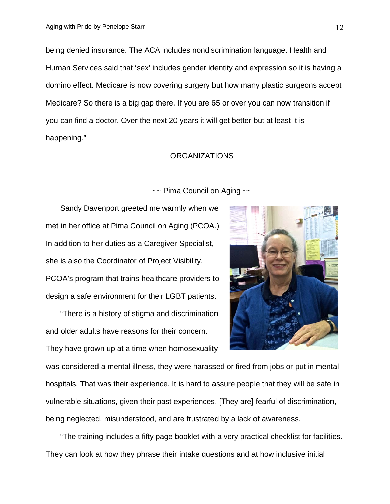being denied insurance. The ACA includes nondiscrimination language. Health and Human Services said that 'sex' includes gender identity and expression so it is having a domino effect. Medicare is now covering surgery but how many plastic surgeons accept Medicare? So there is a big gap there. If you are 65 or over you can now transition if you can find a doctor. Over the next 20 years it will get better but at least it is happening."

## ORGANIZATIONS

~~ Pima Council on Aging ~~

Sandy Davenport greeted me warmly when we met in her office at Pima Council on Aging (PCOA.) In addition to her duties as a Caregiver Specialist, she is also the Coordinator of Project Visibility, PCOA's program that trains healthcare providers to design a safe environment for their LGBT patients.

"There is a history of stigma and discrimination and older adults have reasons for their concern.

They have grown up at a time when homosexuality



was considered a mental illness, they were harassed or fired from jobs or put in mental hospitals. That was their experience. It is hard to assure people that they will be safe in vulnerable situations, given their past experiences. [They are] fearful of discrimination, being neglected, misunderstood, and are frustrated by a lack of awareness.

"The training includes a fifty page booklet with a very practical checklist for facilities. They can look at how they phrase their intake questions and at how inclusive initial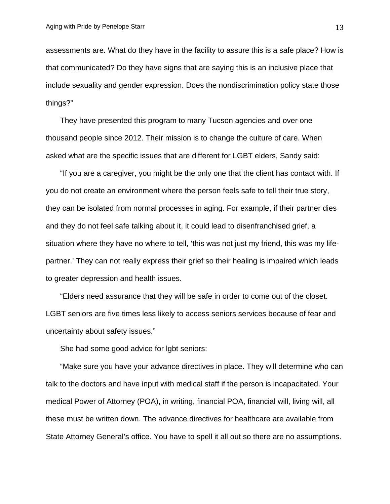assessments are. What do they have in the facility to assure this is a safe place? How is that communicated? Do they have signs that are saying this is an inclusive place that include sexuality and gender expression. Does the nondiscrimination policy state those things?"

They have presented this program to many Tucson agencies and over one thousand people since 2012. Their mission is to change the culture of care. When asked what are the specific issues that are different for LGBT elders, Sandy said:

"If you are a caregiver, you might be the only one that the client has contact with. If you do not create an environment where the person feels safe to tell their true story, they can be isolated from normal processes in aging. For example, if their partner dies and they do not feel safe talking about it, it could lead to disenfranchised grief, a situation where they have no where to tell, 'this was not just my friend, this was my lifepartner.' They can not really express their grief so their healing is impaired which leads to greater depression and health issues.

"Elders need assurance that they will be safe in order to come out of the closet. LGBT seniors are five times less likely to access seniors services because of fear and uncertainty about safety issues."

She had some good advice for lgbt seniors:

"Make sure you have your advance directives in place. They will determine who can talk to the doctors and have input with medical staff if the person is incapacitated. Your medical Power of Attorney (POA), in writing, financial POA, financial will, living will, all these must be written down. The advance directives for healthcare are available from State Attorney General's office. You have to spell it all out so there are no assumptions.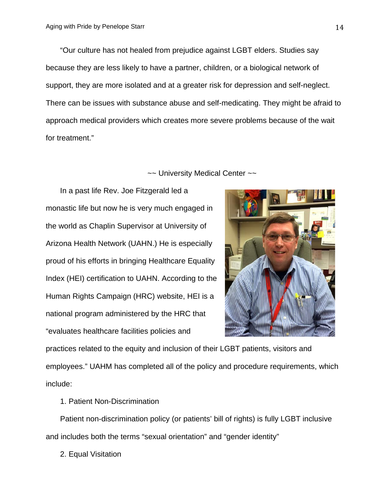"Our culture has not healed from prejudice against LGBT elders. Studies say because they are less likely to have a partner, children, or a biological network of support, they are more isolated and at a greater risk for depression and self-neglect. There can be issues with substance abuse and self-medicating. They might be afraid to approach medical providers which creates more severe problems because of the wait for treatment."

~~ University Medical Center ~~

In a past life Rev. Joe Fitzgerald led a monastic life but now he is very much engaged in the world as Chaplin Supervisor at University of Arizona Health Network (UAHN.) He is especially proud of his efforts in bringing Healthcare Equality Index (HEI) certification to UAHN. According to the Human Rights Campaign (HRC) website, HEI is a national program administered by the HRC that "evaluates healthcare facilities policies and



practices related to the equity and inclusion of their LGBT patients, visitors and employees." UAHM has completed all of the policy and procedure requirements, which include:

1. Patient Non-Discrimination

Patient non-discrimination policy (or patients' bill of rights) is fully LGBT inclusive and includes both the terms "sexual orientation" and "gender identity"

2. Equal Visitation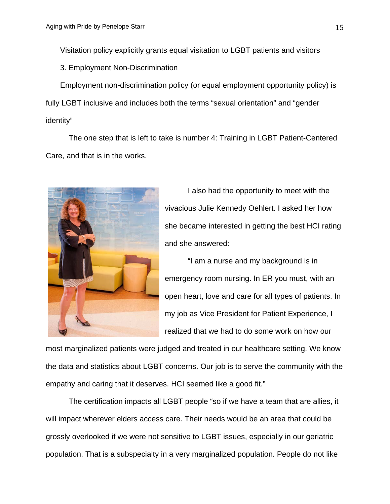Visitation policy explicitly grants equal visitation to LGBT patients and visitors

3. Employment Non-Discrimination

Employment non-discrimination policy (or equal employment opportunity policy) is fully LGBT inclusive and includes both the terms "sexual orientation" and "gender identity"

The one step that is left to take is number 4: Training in LGBT Patient-Centered Care, and that is in the works.



I also had the opportunity to meet with the vivacious Julie Kennedy Oehlert. I asked her how she became interested in getting the best HCI rating and she answered:

"I am a nurse and my background is in emergency room nursing. In ER you must, with an open heart, love and care for all types of patients. In my job as Vice President for Patient Experience, I realized that we had to do some work on how our

most marginalized patients were judged and treated in our healthcare setting. We know the data and statistics about LGBT concerns. Our job is to serve the community with the empathy and caring that it deserves. HCI seemed like a good fit."

The certification impacts all LGBT people "so if we have a team that are allies, it will impact wherever elders access care. Their needs would be an area that could be grossly overlooked if we were not sensitive to LGBT issues, especially in our geriatric population. That is a subspecialty in a very marginalized population. People do not like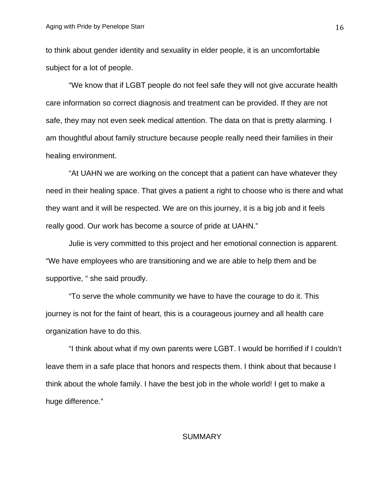to think about gender identity and sexuality in elder people, it is an uncomfortable subject for a lot of people.

"We know that if LGBT people do not feel safe they will not give accurate health care information so correct diagnosis and treatment can be provided. If they are not safe, they may not even seek medical attention. The data on that is pretty alarming. I am thoughtful about family structure because people really need their families in their healing environment.

"At UAHN we are working on the concept that a patient can have whatever they need in their healing space. That gives a patient a right to choose who is there and what they want and it will be respected. We are on this journey, it is a big job and it feels really good. Our work has become a source of pride at UAHN."

Julie is very committed to this project and her emotional connection is apparent. "We have employees who are transitioning and we are able to help them and be supportive, " she said proudly.

"To serve the whole community we have to have the courage to do it. This journey is not for the faint of heart, this is a courageous journey and all health care organization have to do this.

"I think about what if my own parents were LGBT. I would be horrified if I couldn't leave them in a safe place that honors and respects them. I think about that because I think about the whole family. I have the best job in the whole world! I get to make a huge difference."

#### **SUMMARY**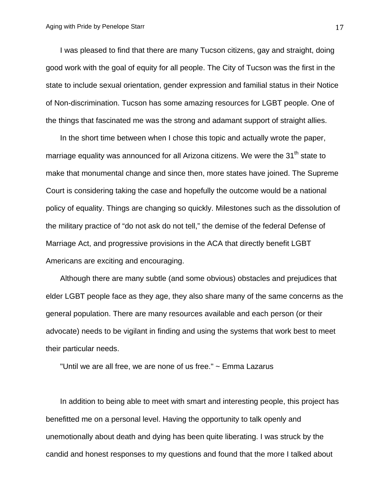I was pleased to find that there are many Tucson citizens, gay and straight, doing good work with the goal of equity for all people. The City of Tucson was the first in the state to include sexual orientation, gender expression and familial status in their Notice of Non-discrimination. Tucson has some amazing resources for LGBT people. One of the things that fascinated me was the strong and adamant support of straight allies.

In the short time between when I chose this topic and actually wrote the paper, marriage equality was announced for all Arizona citizens. We were the 31<sup>th</sup> state to make that monumental change and since then, more states have joined. The Supreme Court is considering taking the case and hopefully the outcome would be a national policy of equality. Things are changing so quickly. Milestones such as the dissolution of the military practice of "do not ask do not tell," the demise of the federal Defense of Marriage Act, and progressive provisions in the ACA that directly benefit LGBT Americans are exciting and encouraging.

Although there are many subtle (and some obvious) obstacles and prejudices that elder LGBT people face as they age, they also share many of the same concerns as the general population. There are many resources available and each person (or their advocate) needs to be vigilant in finding and using the systems that work best to meet their particular needs.

"Until we are all free, we are none of us free." ~ Emma Lazarus

In addition to being able to meet with smart and interesting people, this project has benefitted me on a personal level. Having the opportunity to talk openly and unemotionally about death and dying has been quite liberating. I was struck by the candid and honest responses to my questions and found that the more I talked about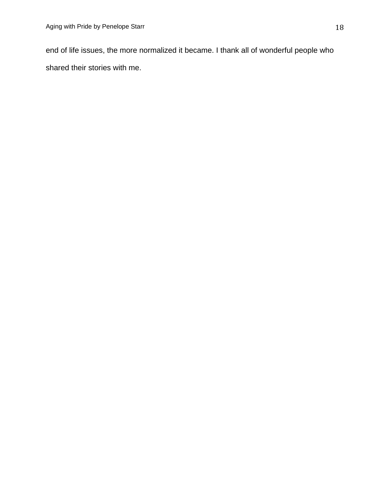end of life issues, the more normalized it became. I thank all of wonderful people who shared their stories with me.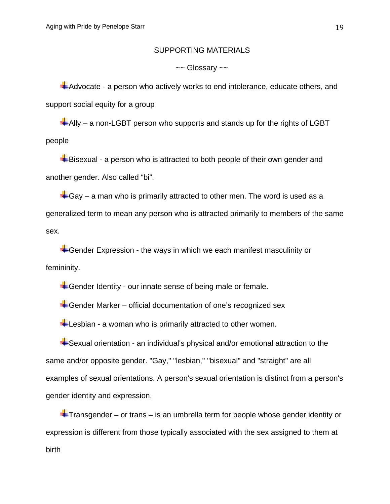### SUPPORTING MATERIALS

 $\sim$  Glossary  $\sim$ 

Advocate - a person who actively works to end intolerance, educate others, and support social equity for a group

 $\triangleq$ Ally – a non-LGBT person who supports and stands up for the rights of LGBT people

 $\blacktriangle$ Bisexual - a person who is attracted to both people of their own gender and another gender. Also called "bi".

 $\triangleq$  Gay – a man who is primarily attracted to other men. The word is used as a generalized term to mean any person who is attracted primarily to members of the same sex.

 $\blacktriangleright$  Gender Expression - the ways in which we each manifest masculinity or femininity.

**Gender Identity - our innate sense of being male or female.** 

 $\bigstar$ Gender Marker – official documentation of one's recognized sex

**Lesbian - a woman who is primarily attracted to other women.** 

Sexual orientation - an individual's physical and/or emotional attraction to the same and/or opposite gender. "Gay," "lesbian," "bisexual" and "straight" are all examples of sexual orientations. A person's sexual orientation is distinct from a person's gender identity and expression.

 $\pm$ Transgender – or trans – is an umbrella term for people whose gender identity or expression is different from those typically associated with the sex assigned to them at birth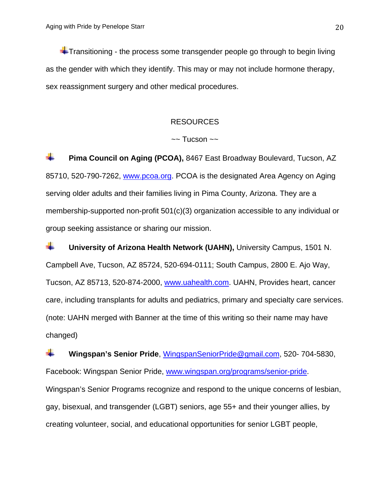$\ddot{\bullet}$  Transitioning - the process some transgender people go through to begin living as the gender with which they identify. This may or may not include hormone therapy, sex reassignment surgery and other medical procedures.

## RESOURCES

#### $\sim$  Tucson  $\sim$

÷ **Pima Council on Aging (PCOA),** 8467 East Broadway Boulevard, Tucson, AZ 85710, 520-790-7262, [www.pcoa.org.](http://www.pcoa.org/) PCOA is the designated Area Agency on Aging serving older adults and their families living in Pima County, Arizona. They are a membership-supported non-profit 501(c)(3) organization accessible to any individual or group seeking assistance or sharing our mission.

a ka **University of Arizona Health Network (UAHN),** University Campus, 1501 N. Campbell Ave, Tucson, AZ 85724, 520-694-0111; South Campus, 2800 E. Ajo Way, Tucson, AZ 85713, 520-874-2000, [www.uahealth.com.](http://www.uahealth.com/) UAHN, Provides heart, cancer care, including transplants for adults and pediatrics, primary and specialty care services. (note: UAHN merged with Banner at the time of this writing so their name may have changed)

÷ **Wingspan's Senior Pride**, [WingspanSeniorPride@gmail.com,](mailto:WingspanSeniorPride@gmail.com) 520- 704-5830, Facebook: Wingspan Senior Pride, [www.wingspan.org/programs/senior-pride.](http://www.wingspan.org/programs/senior-pride) Wingspan's Senior Programs recognize and respond to the unique concerns of lesbian, gay, bisexual, and transgender (LGBT) seniors, age 55+ and their younger allies, by creating volunteer, social, and educational opportunities for senior LGBT people,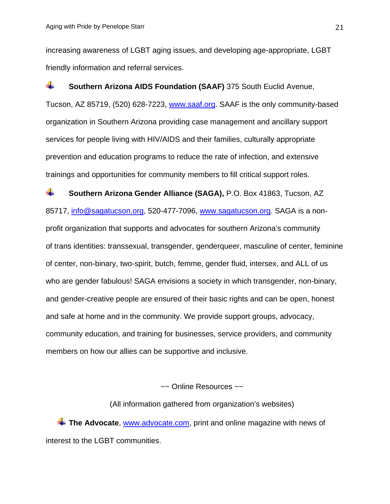increasing awareness of LGBT aging issues, and developing age-appropriate, LGBT friendly information and referral services.

÷. **Southern Arizona AIDS Foundation (SAAF)** 375 South Euclid Avenue, Tucson, AZ 85719, (520) 628-7223, [www.saaf.org.](http://www.saaf.org/) SAAF is the only community-based organization in Southern Arizona providing case management and ancillary support services for people living with HIV/AIDS and their families, culturally appropriate prevention and education programs to reduce the rate of infection, and extensive trainings and opportunities for community members to fill critical support roles.

a. **Southern Arizona Gender Alliance (SAGA),** P.O. Box 41863, Tucson, AZ 85717, [info@sagatucson.org,](mailto:info@sagatucson.org) 520-477-7096, [www.sagatucson.org.](http://www.sagatucson.org/) SAGA is a nonprofit organization that supports and advocates for southern Arizona's community of trans identities: transsexual, transgender, genderqueer, masculine of center, feminine of center, non-binary, two-spirit, butch, femme, gender fluid, intersex, and ALL of us who are gender fabulous! SAGA envisions a society in which transgender, non-binary, and gender-creative people are ensured of their basic rights and can be open, honest and safe at home and in the community. We provide support groups, advocacy, community education, and training for businesses, service providers, and community members on how our allies can be supportive and inclusive.

~~ Online Resources ~~

(All information gathered from organization's websites)

**The Advocate, [www.advocate.com,](http://www.advocate.com/) print and online magazine with news of** interest to the LGBT communities.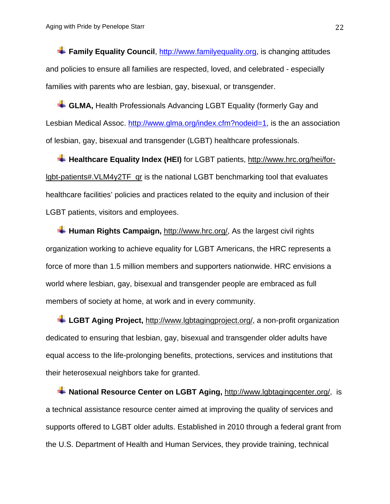**Family Equality Council**, [http://www.familyequality.org,](http://www.familyequality.org/) is changing attitudes and policies to ensure all families are respected, loved, and celebrated - especially families with parents who are lesbian, gay, bisexual, or transgender.

**GLMA,** Health Professionals Advancing LGBT Equality (formerly Gay and Lesbian Medical Assoc. [http://www.glma.org/index.cfm?nodeid=1,](http://www.glma.org/index.cfm?nodeid=1) is the an association of lesbian, gay, bisexual and transgender (LGBT) healthcare professionals.

**Healthcare Equality Index (HEI)** for LGBT patients, [http://www.hrc.org/hei/for](http://www.hrc.org/hei/for-lgbt-patients#.VLM4y2TF_qr)[lgbt-patients#.VLM4y2TF\\_qr](http://www.hrc.org/hei/for-lgbt-patients#.VLM4y2TF_qr) is the national LGBT benchmarking tool that evaluates healthcare facilities' policies and practices related to the equity and inclusion of their LGBT patients, visitors and employees.

**Human Rights Campaign,** [http://www.hrc.org/,](http://www.hrc.org/) As the largest civil rights organization working to achieve equality for LGBT Americans, the HRC represents a force of more than 1.5 million members and supporters nationwide. HRC envisions a world where lesbian, gay, bisexual and transgender people are embraced as full members of society at home, at work and in every community.

**LGBT Aging Project,** [http://www.lgbtagingproject.org/,](http://www.lgbtagingproject.org/) a non-profit organization dedicated to ensuring that lesbian, gay, bisexual and transgender older adults have equal access to the life-prolonging benefits, protections, services and institutions that their heterosexual neighbors take for granted.

**National Resource Center on LGBT Aging,** [http://www.lgbtagingcenter.org/,](http://www.lgbtagingcenter.org/) is a technical assistance resource center aimed at improving the quality of services and supports offered to LGBT older adults. Established in 2010 through a federal grant from the U.S. Department of Health and Human Services, they provide training, technical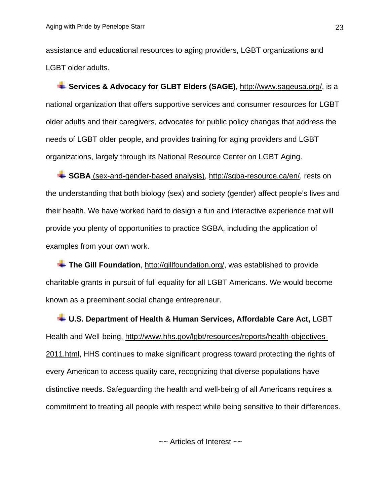assistance and educational resources to aging providers, LGBT organizations and LGBT older adults.

**Services & Advocacy for GLBT Elders (SAGE),** [http://www.sageusa.org/,](http://www.sageusa.org/) is a national organization that offers supportive services and consumer resources for LGBT older adults and their caregivers, advocates for public policy changes that address the needs of LGBT older people, and provides training for aging providers and LGBT organizations, largely through its National Resource Center on LGBT Aging.

**SGBA** (sex-and-gender-based analysis), [http://sgba-resource.ca/en/,](http://sgba-resource.ca/en/) rests on the understanding that both biology (sex) and society (gender) affect people's lives and their health. We have worked hard to design a fun and interactive experience that will provide you plenty of opportunities to practice SGBA, including the application of examples from your own work.

**The Gill Foundation**, [http://gillfoundation.org/,](http://gillfoundation.org/) was established to provide charitable grants in pursuit of full equality for all LGBT Americans. We would become known as a preeminent social change entrepreneur.

**U.S. Department of Health & Human Services, Affordable Care Act,** LGBT Health and Well-being, [http://www.hhs.gov/lgbt/resources/reports/health-objectives-](http://www.hhs.gov/lgbt/resources/reports/health-objectives-2011.html)[2011.html,](http://www.hhs.gov/lgbt/resources/reports/health-objectives-2011.html) HHS continues to make significant progress toward protecting the rights of every American to access quality care, recognizing that diverse populations have distinctive needs. Safeguarding the health and well-being of all Americans requires a commitment to treating all people with respect while being sensitive to their differences.

 $\sim$  Articles of Interest  $\sim$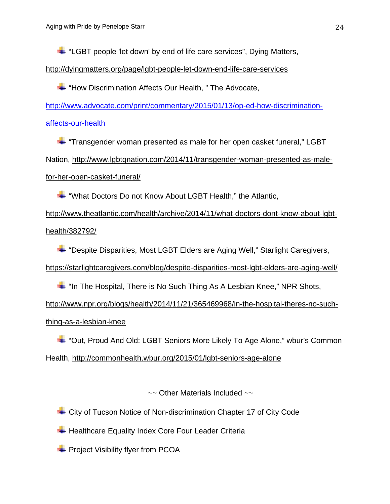$\div$  "LGBT people 'let down' by end of life care services", Dying Matters,

<http://dyingmatters.org/page/lgbt-people-let-down-end-life-care-services>

**+** "How Discrimination Affects Our Health," The Advocate,

[http://www.advocate.com/print/commentary/2015/01/13/op-ed-how-discrimination-](http://www.advocate.com/print/commentary/2015/01/13/op-ed-how-discrimination-affects-our-health)

[affects-our-health](http://www.advocate.com/print/commentary/2015/01/13/op-ed-how-discrimination-affects-our-health)

"Transgender woman presented as male for her open casket funeral," LGBT Nation, [http://www.lgbtqnation.com/2014/11/transgender-woman-presented-as-male](http://www.lgbtqnation.com/2014/11/transgender-woman-presented-as-male-for-her-open-casket-funeral/)[for-her-open-casket-funeral/](http://www.lgbtqnation.com/2014/11/transgender-woman-presented-as-male-for-her-open-casket-funeral/)

"What Doctors Do not Know About LGBT Health," the Atlantic,

[http://www.theatlantic.com/health/archive/2014/11/what-doctors-dont-know-about-lgbt](http://www.theatlantic.com/health/archive/2014/11/what-doctors-dont-know-about-lgbt-health/382792/)[health/382792/](http://www.theatlantic.com/health/archive/2014/11/what-doctors-dont-know-about-lgbt-health/382792/)

"Despite Disparities, Most LGBT Elders are Aging Well," Starlight Caregivers, <https://starlightcaregivers.com/blog/despite-disparities-most-lgbt-elders-are-aging-well/>

 $\blacksquare$  "In The Hospital, There is No Such Thing As A Lesbian Knee," NPR Shots, [http://www.npr.org/blogs/health/2014/11/21/365469968/in-the-hospital-theres-no-such](http://www.npr.org/blogs/health/2014/11/21/365469968/in-the-hospital-theres-no-such-thing-as-a-lesbian-knee)[thing-as-a-lesbian-knee](http://www.npr.org/blogs/health/2014/11/21/365469968/in-the-hospital-theres-no-such-thing-as-a-lesbian-knee)

"Out, Proud And Old: LGBT Seniors More Likely To Age Alone," wbur's Common Health,<http://commonhealth.wbur.org/2015/01/lgbt-seniors-age-alone>

 $\sim$  Other Materials Included  $\sim$ 

City of Tucson Notice of Non-discrimination Chapter 17 of City Code

 $\overline{\phantom{a}}$  Healthcare Equality Index Core Four Leader Criteria

 $\blacktriangleright$  Project Visibility flyer from PCOA